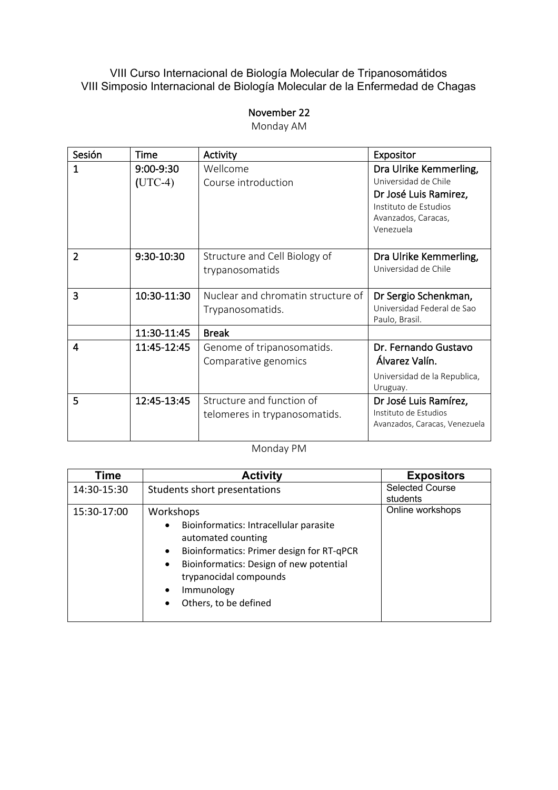#### VIII Curso Internacional de Biología Molecular de Tripanosomátidos VIII Simposio Internacional de Biología Molecular de la Enfermedad de Chagas

#### November 22

Monday AM

| Sesión         | <b>Time</b>                | Activity                                                   | Expositor                                                                                                                            |
|----------------|----------------------------|------------------------------------------------------------|--------------------------------------------------------------------------------------------------------------------------------------|
| 1              | $9:00 - 9:30$<br>$(UTC-4)$ | Wellcome<br>Course introduction                            | Dra Ulrike Kemmerling,<br>Universidad de Chile<br>Dr José Luis Ramirez,<br>Instituto de Estudios<br>Avanzados, Caracas,<br>Venezuela |
| $\overline{2}$ | 9:30-10:30                 | Structure and Cell Biology of<br>trypanosomatids           | Dra Ulrike Kemmerling,<br>Universidad de Chile                                                                                       |
| 3              | 10:30-11:30                | Nuclear and chromatin structure of<br>Trypanosomatids.     | Dr Sergio Schenkman,<br>Universidad Federal de Sao<br>Paulo, Brasil.                                                                 |
|                | 11:30-11:45                | <b>Break</b>                                               |                                                                                                                                      |
| 4              | 11:45-12:45                | Genome of tripanosomatids.<br>Comparative genomics         | Dr. Fernando Gustavo<br>Álvarez Valín.<br>Universidad de la Republica,<br>Uruguay.                                                   |
| 5              | 12:45-13:45                | Structure and function of<br>telomeres in trypanosomatids. | Dr José Luis Ramírez,<br>Instituto de Estudios<br>Avanzados, Caracas, Venezuela                                                      |

Monday PM

| Time        | <b>Activity</b>                                        | <b>Expositors</b>      |
|-------------|--------------------------------------------------------|------------------------|
| 14:30-15:30 | Students short presentations                           | <b>Selected Course</b> |
|             |                                                        | students               |
| 15:30-17:00 | Workshops                                              | Online workshops       |
|             | Bioinformatics: Intracellular parasite<br>$\bullet$    |                        |
|             | automated counting                                     |                        |
|             | Bioinformatics: Primer design for RT-qPCR<br>$\bullet$ |                        |
|             | Bioinformatics: Design of new potential<br>$\bullet$   |                        |
|             | trypanocidal compounds                                 |                        |
|             | Immunology<br>$\bullet$                                |                        |
|             | Others, to be defined<br>$\bullet$                     |                        |
|             |                                                        |                        |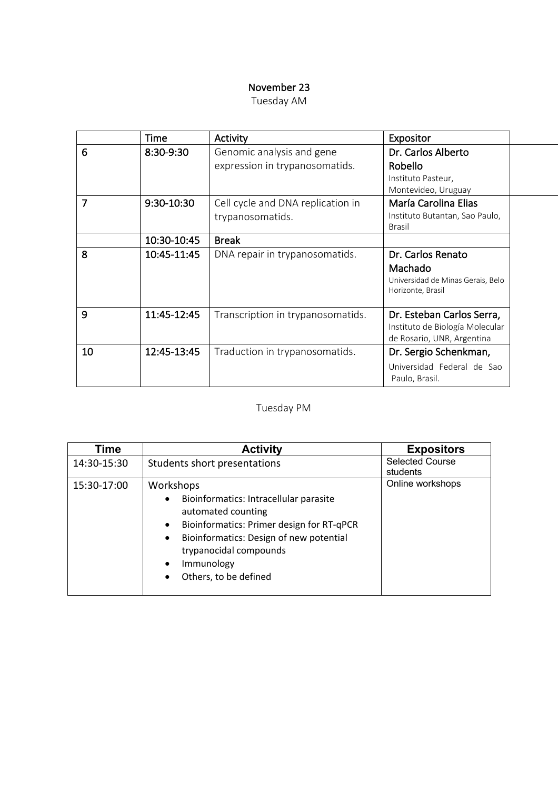### November 23

|    | Time         | Activity                                                    | Expositor                                                                                  |  |
|----|--------------|-------------------------------------------------------------|--------------------------------------------------------------------------------------------|--|
| 6  | 8:30-9:30    | Genomic analysis and gene<br>expression in trypanosomatids. | Dr. Carlos Alberto<br>Robello<br>Instituto Pasteur,<br>Montevideo, Uruguay                 |  |
| 7  | $9:30-10:30$ | Cell cycle and DNA replication in<br>trypanosomatids.       | María Carolina Elias<br>Instituto Butantan, Sao Paulo,<br><b>Brasil</b>                    |  |
|    | 10:30-10:45  | <b>Break</b>                                                |                                                                                            |  |
| 8  | 10:45-11:45  | DNA repair in trypanosomatids.                              | Dr. Carlos Renato<br>Machado<br>Universidad de Minas Gerais, Belo<br>Horizonte, Brasil     |  |
| 9  | 11:45-12:45  | Transcription in trypanosomatids.                           | Dr. Esteban Carlos Serra,<br>Instituto de Biología Molecular<br>de Rosario, UNR, Argentina |  |
| 10 | 12:45-13:45  | Traduction in trypanosomatids.                              | Dr. Sergio Schenkman,                                                                      |  |
|    |              |                                                             | Universidad Federal de Sao<br>Paulo, Brasil.                                               |  |

# Tuesday PM

| Time        | <b>Activity</b>                                                                                                                                                                                                                                                                                     | <b>Expositors</b>                  |
|-------------|-----------------------------------------------------------------------------------------------------------------------------------------------------------------------------------------------------------------------------------------------------------------------------------------------------|------------------------------------|
| 14:30-15:30 | Students short presentations                                                                                                                                                                                                                                                                        | <b>Selected Course</b><br>students |
| 15:30-17:00 | Workshops<br>Bioinformatics: Intracellular parasite<br>$\bullet$<br>automated counting<br>Bioinformatics: Primer design for RT-qPCR<br>$\bullet$<br>Bioinformatics: Design of new potential<br>$\bullet$<br>trypanocidal compounds<br>Immunology<br>$\bullet$<br>Others, to be defined<br>$\bullet$ | Online workshops                   |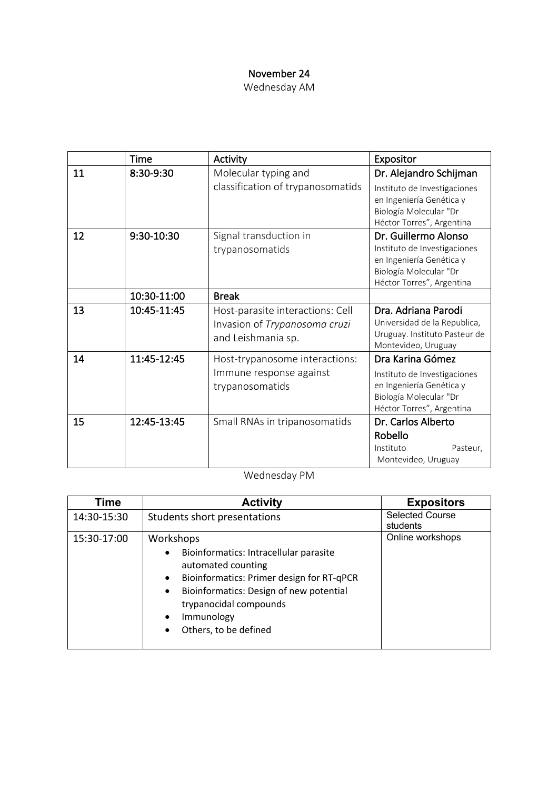## November 24

Wednesday AM

|    | <b>Time</b> | Activity                                                                                | Expositor                                                                                                                               |
|----|-------------|-----------------------------------------------------------------------------------------|-----------------------------------------------------------------------------------------------------------------------------------------|
| 11 | 8:30-9:30   | Molecular typing and                                                                    | Dr. Alejandro Schijman                                                                                                                  |
|    |             | classification of trypanosomatids                                                       | Instituto de Investigaciones<br>en Ingeniería Genética y<br>Biología Molecular "Dr                                                      |
|    |             |                                                                                         | Héctor Torres", Argentina                                                                                                               |
| 12 | 9:30-10:30  | Signal transduction in<br>trypanosomatids                                               | Dr. Guillermo Alonso<br>Instituto de Investigaciones<br>en Ingeniería Genética y<br>Biología Molecular "Dr<br>Héctor Torres", Argentina |
|    | 10:30-11:00 | <b>Break</b>                                                                            |                                                                                                                                         |
| 13 | 10:45-11:45 | Host-parasite interactions: Cell<br>Invasion of Trypanosoma cruzi<br>and Leishmania sp. | Dra. Adriana Parodi<br>Universidad de la Republica,<br>Uruguay. Instituto Pasteur de<br>Montevideo, Uruguay                             |
| 14 | 11:45-12:45 | Host-trypanosome interactions:<br>Immune response against<br>trypanosomatids            | Dra Karina Gómez<br>Instituto de Investigaciones<br>en Ingeniería Genética y<br>Biología Molecular "Dr<br>Héctor Torres", Argentina     |
| 15 | 12:45-13:45 | Small RNAs in tripanosomatids                                                           | Dr. Carlos Alberto<br>Robello<br>Instituto<br>Pasteur,<br>Montevideo, Uruguay                                                           |

Wednesday PM

| Time        | <b>Activity</b>                                                           | <b>Expositors</b>                  |
|-------------|---------------------------------------------------------------------------|------------------------------------|
| 14:30-15:30 | Students short presentations                                              | <b>Selected Course</b><br>students |
|             |                                                                           |                                    |
| 15:30-17:00 | Workshops                                                                 | Online workshops                   |
|             | Bioinformatics: Intracellular parasite<br>$\bullet$<br>automated counting |                                    |
|             | Bioinformatics: Primer design for RT-qPCR<br>$\bullet$                    |                                    |
|             | Bioinformatics: Design of new potential<br>$\bullet$                      |                                    |
|             | trypanocidal compounds                                                    |                                    |
|             | Immunology<br>$\bullet$                                                   |                                    |
|             | Others, to be defined                                                     |                                    |
|             |                                                                           |                                    |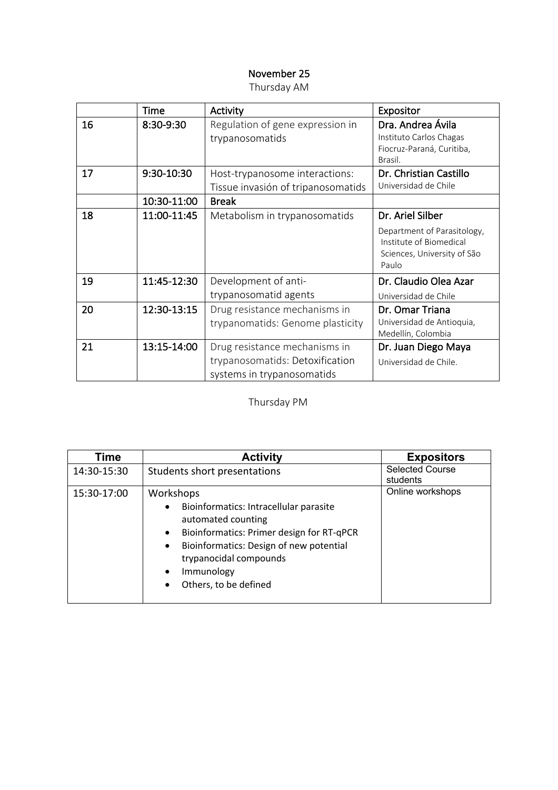## November 25

|    | Time        | Activity                                                             | Expositor                                                                                      |
|----|-------------|----------------------------------------------------------------------|------------------------------------------------------------------------------------------------|
| 16 | 8:30-9:30   | Regulation of gene expression in<br>trypanosomatids                  | Dra. Andrea Ávila<br>Instituto Carlos Chagas<br>Fiocruz-Paraná, Curitiba,<br>Brasil.           |
| 17 | 9:30-10:30  | Host-trypanosome interactions:<br>Tissue invasión of tripanosomatids | Dr. Christian Castillo<br>Universidad de Chile                                                 |
|    | 10:30-11:00 | <b>Break</b>                                                         |                                                                                                |
| 18 | 11:00-11:45 | Metabolism in trypanosomatids                                        | Dr. Ariel Silber                                                                               |
|    |             |                                                                      | Department of Parasitology,<br>Institute of Biomedical<br>Sciences, University of São<br>Paulo |
| 19 | 11:45-12:30 | Development of anti-                                                 | Dr. Claudio Olea Azar                                                                          |
|    |             | trypanosomatid agents                                                | Universidad de Chile                                                                           |
| 20 | 12:30-13:15 | Drug resistance mechanisms in<br>trypanomatids: Genome plasticity    | Dr. Omar Triana<br>Universidad de Antioquia,<br>Medellín, Colombia                             |
| 21 | 13:15-14:00 | Drug resistance mechanisms in                                        | Dr. Juan Diego Maya                                                                            |
|    |             | trypanosomatids: Detoxification<br>systems in trypanosomatids        | Universidad de Chile.                                                                          |

## Thursday PM

| Time        | <b>Activity</b>                                                                                                                                                                                                                                                                                     | <b>Expositors</b>                  |
|-------------|-----------------------------------------------------------------------------------------------------------------------------------------------------------------------------------------------------------------------------------------------------------------------------------------------------|------------------------------------|
| 14:30-15:30 | Students short presentations                                                                                                                                                                                                                                                                        | <b>Selected Course</b><br>students |
| 15:30-17:00 | Workshops<br>Bioinformatics: Intracellular parasite<br>$\bullet$<br>automated counting<br>Bioinformatics: Primer design for RT-qPCR<br>$\bullet$<br>Bioinformatics: Design of new potential<br>$\bullet$<br>trypanocidal compounds<br>Immunology<br>$\bullet$<br>Others, to be defined<br>$\bullet$ | Online workshops                   |